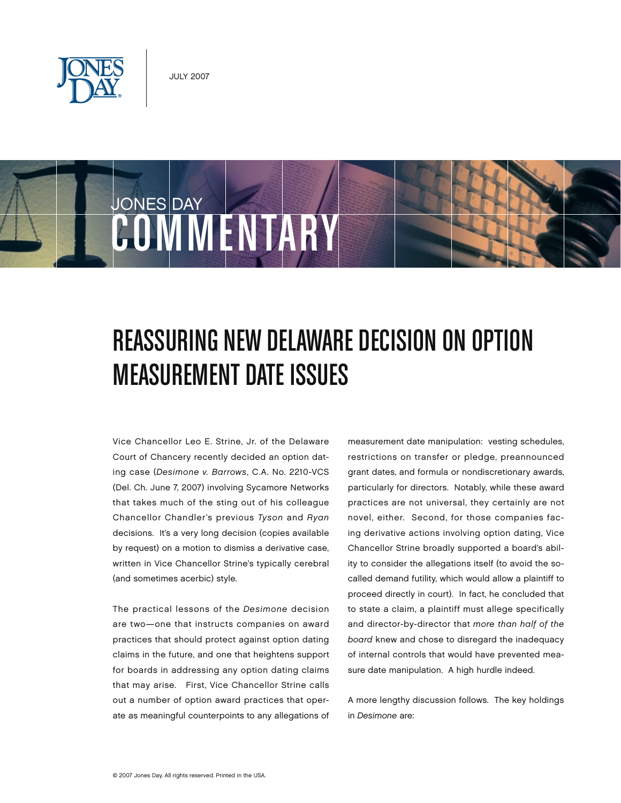



## REASSURING NEW DELAWARE DECISION ON OPTION Measurement Date Issues

Vice Chancellor Leo E. Strine, Jr. of the Delaware Court of Chancery recently decided an option dating case (*Desimone v. Barrows*, C.A. No. 2210-VCS (Del. Ch. June 7, 2007) involving Sycamore Networks that takes much of the sting out of his colleague Chancellor Chandler's previous *Tyson* and *Ryan* decisions. It's a very long decision (copies available by request) on a motion to dismiss a derivative case, written in Vice Chancellor Strine's typically cerebral (and sometimes acerbic) style.

The practical lessons of the *Desimone* decision are two—one that instructs companies on award practices that should protect against option dating claims in the future, and one that heightens support for boards in addressing any option dating claims that may arise. First, Vice Chancellor Strine calls out a number of option award practices that operate as meaningful counterpoints to any allegations of measurement date manipulation: vesting schedules, restrictions on transfer or pledge, preannounced grant dates, and formula or nondiscretionary awards, particularly for directors. Notably, while these award practices are not universal, they certainly are not novel, either. Second, for those companies facing derivative actions involving option dating, Vice Chancellor Strine broadly supported a board's ability to consider the allegations itself (to avoid the socalled demand futility, which would allow a plaintiff to proceed directly in court). In fact, he concluded that to state a claim, a plaintiff must allege specifically and director-by-director that *more than half of the board* knew and chose to disregard the inadequacy of internal controls that would have prevented measure date manipulation. A high hurdle indeed.

A more lengthy discussion follows. The key holdings in *Desimone* are: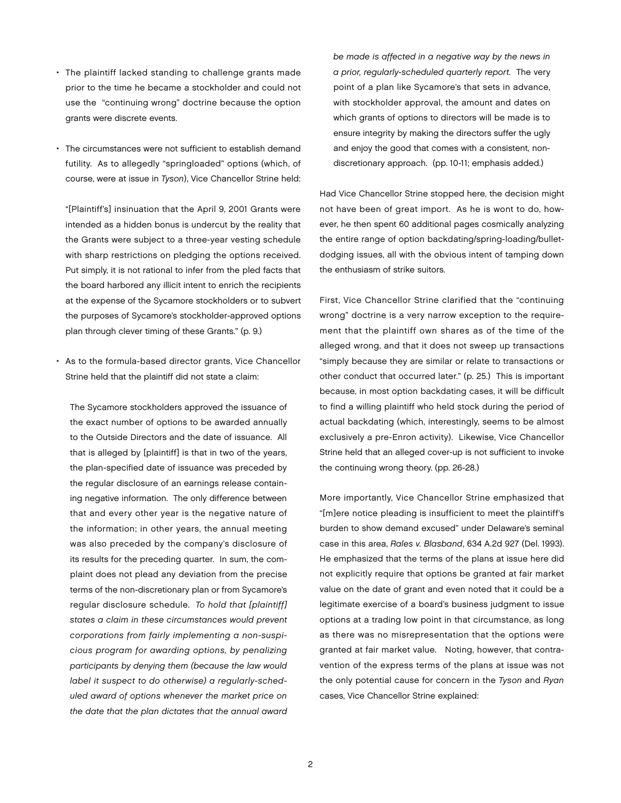- The plaintiff lacked standing to challenge grants made prior to the time he became a stockholder and could not use the "continuing wrong" doctrine because the option grants were discrete events.
- The circumstances were not sufficient to establish demand futility. As to allegedly "springloaded" options (which, of course, were at issue in *Tyson*), Vice Chancellor Strine held:

"[Plaintiff's] insinuation that the April 9, 2001 Grants were intended as a hidden bonus is undercut by the reality that the Grants were subject to a three-year vesting schedule with sharp restrictions on pledging the options received. Put simply, it is not rational to infer from the pled facts that the board harbored any illicit intent to enrich the recipients at the expense of the Sycamore stockholders or to subvert the purposes of Sycamore's stockholder-approved options plan through clever timing of these Grants." (p. 9.)

• As to the formula-based director grants, Vice Chancellor Strine held that the plaintiff did not state a claim:

The Sycamore stockholders approved the issuance of the exact number of options to be awarded annually to the Outside Directors and the date of issuance. All that is alleged by [plaintiff] is that in two of the years, the plan-specified date of issuance was preceded by the regular disclosure of an earnings release containing negative information. The only difference between that and every other year is the negative nature of the information; in other years, the annual meeting was also preceded by the company's disclosure of its results for the preceding quarter. In sum, the complaint does not plead any deviation from the precise terms of the non-discretionary plan or from Sycamore's regular disclosure schedule. *To hold that [plaintiff] states a claim in these circumstances would prevent corporations from fairly implementing a non-suspicious program for awarding options, by penalizing participants by denying them (because the law would label it suspect to do otherwise) a regularly-scheduled award of options whenever the market price on the date that the plan dictates that the annual award*  *be made is affected in a negative way by the news in a prior, regularly-scheduled quarterly report.* The very point of a plan like Sycamore's that sets in advance, with stockholder approval, the amount and dates on which grants of options to directors will be made is to ensure integrity by making the directors suffer the ugly and enjoy the good that comes with a consistent, nondiscretionary approach. (pp. 10-11; emphasis added.)

Had Vice Chancellor Strine stopped here, the decision might not have been of great import. As he is wont to do, however, he then spent 60 additional pages cosmically analyzing the entire range of option backdating/spring-loading/bulletdodging issues, all with the obvious intent of tamping down the enthusiasm of strike suitors.

First, Vice Chancellor Strine clarified that the "continuing wrong" doctrine is a very narrow exception to the requirement that the plaintiff own shares as of the time of the alleged wrong, and that it does not sweep up transactions "simply because they are similar or relate to transactions or other conduct that occurred later." (p. 25.) This is important because, in most option backdating cases, it will be difficult to find a willing plaintiff who held stock during the period of actual backdating (which, interestingly, seems to be almost exclusively a pre-Enron activity). Likewise, Vice Chancellor Strine held that an alleged cover-up is not sufficient to invoke the continuing wrong theory. (pp. 26-28.)

More importantly, Vice Chancellor Strine emphasized that "[m]ere notice pleading is insufficient to meet the plaintiff's burden to show demand excused" under Delaware's seminal case in this area, *Rales v. Blasband*, 634 A.2d 927 (Del. 1993). He emphasized that the terms of the plans at issue here did not explicitly require that options be granted at fair market value on the date of grant and even noted that it could be a legitimate exercise of a board's business judgment to issue options at a trading low point in that circumstance, as long as there was no misrepresentation that the options were granted at fair market value. Noting, however, that contravention of the express terms of the plans at issue was not the only potential cause for concern in the *Tyson* and *Ryan* cases, Vice Chancellor Strine explained: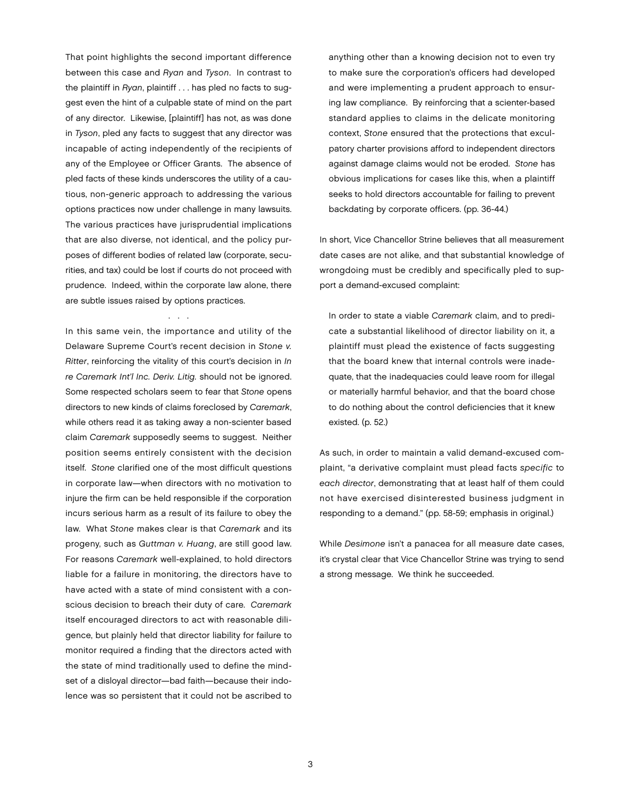That point highlights the second important difference between this case and *Ryan* and *Tyson*. In contrast to the plaintiff in *Ryan*, plaintiff . . . has pled no facts to suggest even the hint of a culpable state of mind on the part of any director. Likewise, [plaintiff] has not, as was done in *Tyson*, pled any facts to suggest that any director was incapable of acting independently of the recipients of any of the Employee or Officer Grants. The absence of pled facts of these kinds underscores the utility of a cautious, non-generic approach to addressing the various options practices now under challenge in many lawsuits. The various practices have jurisprudential implications that are also diverse, not identical, and the policy purposes of different bodies of related law (corporate, securities, and tax) could be lost if courts do not proceed with prudence. Indeed, within the corporate law alone, there are subtle issues raised by options practices.

. . .

In this same vein, the importance and utility of the Delaware Supreme Court's recent decision in *Stone v. Ritter*, reinforcing the vitality of this court's decision in *In re Caremark Int'l Inc. Deriv. Litig.* should not be ignored. Some respected scholars seem to fear that *Stone* opens directors to new kinds of claims foreclosed by *Caremark*, while others read it as taking away a non-scienter based claim *Caremark* supposedly seems to suggest. Neither position seems entirely consistent with the decision itself. *Stone* clarified one of the most difficult questions in corporate law—when directors with no motivation to injure the firm can be held responsible if the corporation incurs serious harm as a result of its failure to obey the law. What *Stone* makes clear is that *Caremark* and its progeny, such as *Guttman v. Huang*, are still good law. For reasons *Caremark* well-explained, to hold directors liable for a failure in monitoring, the directors have to have acted with a state of mind consistent with a conscious decision to breach their duty of care. *Caremark* itself encouraged directors to act with reasonable diligence, but plainly held that director liability for failure to monitor required a finding that the directors acted with the state of mind traditionally used to define the mindset of a disloyal director—bad faith—because their indolence was so persistent that it could not be ascribed to

anything other than a knowing decision not to even try to make sure the corporation's officers had developed and were implementing a prudent approach to ensuring law compliance. By reinforcing that a scienter-based standard applies to claims in the delicate monitoring context, *Stone* ensured that the protections that exculpatory charter provisions afford to independent directors against damage claims would not be eroded. *Stone* has obvious implications for cases like this, when a plaintiff seeks to hold directors accountable for failing to prevent backdating by corporate officers. (pp. 36-44.)

In short, Vice Chancellor Strine believes that all measurement date cases are not alike, and that substantial knowledge of wrongdoing must be credibly and specifically pled to support a demand-excused complaint:

In order to state a viable *Caremark* claim, and to predicate a substantial likelihood of director liability on it, a plaintiff must plead the existence of facts suggesting that the board knew that internal controls were inadequate, that the inadequacies could leave room for illegal or materially harmful behavior, and that the board chose to do nothing about the control deficiencies that it knew existed. (p. 52.)

As such, in order to maintain a valid demand-excused complaint, "a derivative complaint must plead facts *specific* to *each director*, demonstrating that at least half of them could not have exercised disinterested business judgment in responding to a demand." (pp. 58-59; emphasis in original.)

While *Desimone* isn't a panacea for all measure date cases, it's crystal clear that Vice Chancellor Strine was trying to send a strong message. We think he succeeded.